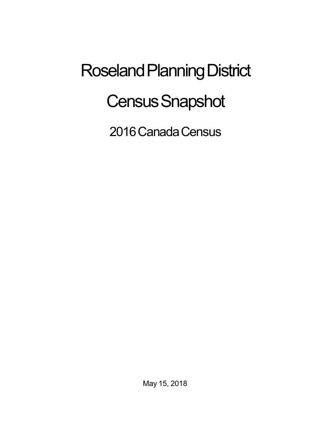## Roseland Planning District **Census Snapshot**

2016 Canada Census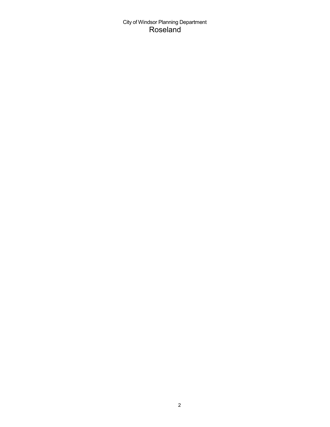## City of Windsor Planning Department Roseland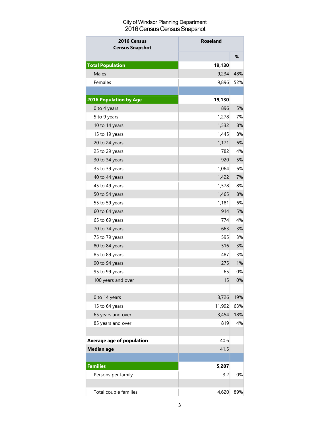## City of Windsor Planning Department 2016 Census Census Snapshot

| <b>Roseland</b><br>2016 Census<br><b>Census Snapshot</b> |        |     |  |
|----------------------------------------------------------|--------|-----|--|
|                                                          |        | %   |  |
| <b>Total Population</b>                                  | 19,130 |     |  |
| Males                                                    | 9,234  | 48% |  |
| Females                                                  | 9,896  | 52% |  |
|                                                          |        |     |  |
| <b>2016 Population by Age</b>                            | 19,130 |     |  |
| 0 to 4 years                                             | 896    | 5%  |  |
| 5 to 9 years                                             | 1,278  | 7%  |  |
| 10 to 14 years                                           | 1,532  | 8%  |  |
| 15 to 19 years                                           | 1,445  | 8%  |  |
| 20 to 24 years                                           | 1,171  | 6%  |  |
| 25 to 29 years                                           | 782    | 4%  |  |
| 30 to 34 years                                           | 920    | 5%  |  |
| 35 to 39 years                                           | 1,064  | 6%  |  |
| 40 to 44 years                                           | 1,422  | 7%  |  |
| 45 to 49 years                                           | 1,578  | 8%  |  |
| 50 to 54 years                                           | 1,465  | 8%  |  |
| 55 to 59 years                                           | 1,181  | 6%  |  |
| 60 to 64 years                                           | 914    | 5%  |  |
| 65 to 69 years                                           | 774    | 4%  |  |
| 70 to 74 years                                           | 663    | 3%  |  |
| 75 to 79 years                                           | 595    | 3%  |  |
| 80 to 84 years                                           | 516    | 3%  |  |
| 85 to 89 years                                           | 487    | 3%  |  |
| 90 to 94 years                                           | 275    | 1%  |  |
| 95 to 99 years                                           | 65     | 0%  |  |
| 100 years and over                                       | 15     | 0%  |  |
|                                                          |        |     |  |
| 0 to 14 years                                            | 3,726  | 19% |  |
| 15 to 64 years                                           | 11,992 | 63% |  |
| 65 years and over                                        | 3,454  | 18% |  |
| 85 years and over                                        | 819    | 4%  |  |
|                                                          |        |     |  |
| <b>Average age of population</b>                         | 40.6   |     |  |
| <b>Median age</b>                                        | 41.5   |     |  |
| <b>Families</b>                                          | 5,207  |     |  |
| Persons per family                                       | 3.2    | 0%  |  |
| Total couple families                                    | 4,620  | 89% |  |